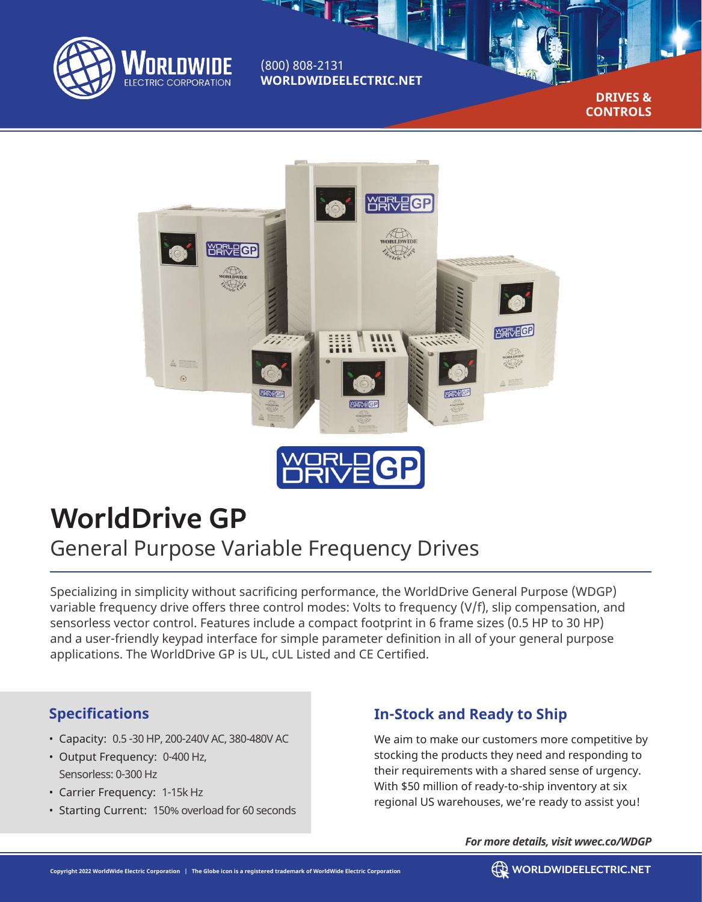

(800) 808-2131 **WORLDWIDEELECTRIC.NET**

 $\frac{1}{\sqrt{2}}$ 

**DRIVES & CONTROLS**



# **WorldDrive GP**

## General Purpose Variable Frequency Drives

Specializing in simplicity without sacrificing performance, the WorldDrive General Purpose (WDGP) variable frequency drive offers three control modes: Volts to frequency (V/f), slip compensation, and sensorless vector control. Features include a compact footprint in 6 frame sizes (0.5 HP to 30 HP) and a user-friendly keypad interface for simple parameter definition in all of your general purpose applications. The WorldDrive GP is UL, cUL Listed and CE Certified.

#### **Specifications**

- Capacity: 0.5 -30 HP, 200-240V AC, 380-480V AC
- Output Frequency: 0-400 Hz, Sensorless: 0-300 Hz
- Carrier Frequency: 1-15k Hz
- Starting Current: 150% overload for 60 seconds

### **In-Stock and Ready to Ship**

We aim to make our customers more competitive by stocking the products they need and responding to their requirements with a shared sense of urgency. With \$50 million of ready-to-ship inventory at six regional US warehouses, we're ready to assist you!

*For more details, visit wwec.co/WDGP*